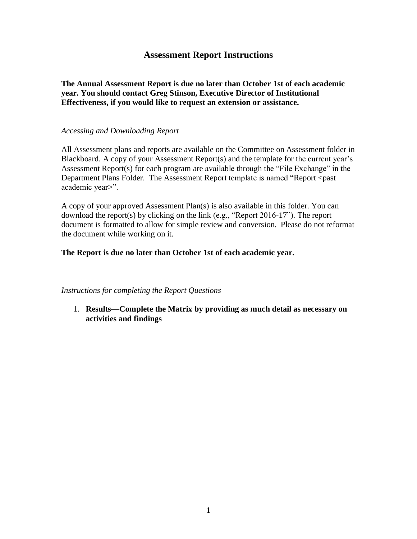# **Assessment Report Instructions**

**The Annual Assessment Report is due no later than October 1st of each academic year. You should contact Greg Stinson, Executive Director of Institutional Effectiveness, if you would like to request an extension or assistance.**

## *Accessing and Downloading Report*

All Assessment plans and reports are available on the Committee on Assessment folder in Blackboard. A copy of your Assessment Report(s) and the template for the current year's Assessment Report(s) for each program are available through the "File Exchange" in the Department Plans Folder. The Assessment Report template is named "Report <past academic year>".

A copy of your approved Assessment Plan(s) is also available in this folder. You can download the report(s) by clicking on the link (e.g., "Report 2016-17"). The report document is formatted to allow for simple review and conversion. Please do not reformat the document while working on it.

## **The Report is due no later than October 1st of each academic year.**

## *Instructions for completing the Report Questions*

1. **Results—Complete the Matrix by providing as much detail as necessary on activities and findings**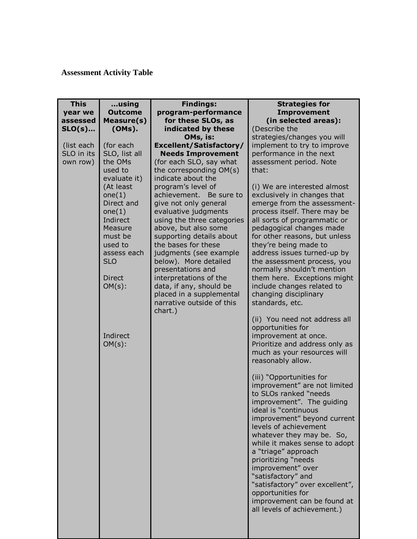# **Assessment Activity Table**

| <b>This</b> | using                    | <b>Findings:</b>                                    | <b>Strategies for</b>                               |
|-------------|--------------------------|-----------------------------------------------------|-----------------------------------------------------|
| year we     | <b>Outcome</b>           | program-performance                                 | <b>Improvement</b>                                  |
| assessed    | Measure(s)               | for these SLOs, as                                  | (in selected areas):                                |
| $SLO(s)$    | (OMs).                   | indicated by these                                  | (Describe the                                       |
|             |                          | OMs, is:                                            | strategies/changes you will                         |
| (list each  | (for each                | <b>Excellent/Satisfactory/</b>                      | implement to try to improve                         |
| SLO in its  | SLO, list all<br>the OMs | <b>Needs Improvement</b>                            | performance in the next                             |
| own row)    | used to                  | (for each SLO, say what<br>the corresponding OM(s)  | assessment period. Note<br>that:                    |
|             | evaluate it)             | indicate about the                                  |                                                     |
|             | (At least                | program's level of                                  | (i) We are interested almost                        |
|             | one(1)                   | achievement.<br>Be sure to                          | exclusively in changes that                         |
|             | Direct and               | give not only general                               | emerge from the assessment-                         |
|             | one(1)                   | evaluative judgments                                | process itself. There may be                        |
|             | Indirect                 | using the three categories                          | all sorts of programmatic or                        |
|             | Measure                  | above, but also some                                | pedagogical changes made                            |
|             | must be                  | supporting details about                            | for other reasons, but unless                       |
|             | used to                  | the bases for these                                 | they're being made to                               |
|             | assess each              | judgments (see example                              | address issues turned-up by                         |
|             | <b>SLO</b>               | below). More detailed                               | the assessment process, you                         |
|             |                          | presentations and                                   | normally shouldn't mention                          |
|             | Direct                   | interpretations of the                              | them here. Exceptions might                         |
|             | $OM(s)$ :                | data, if any, should be<br>placed in a supplemental | include changes related to<br>changing disciplinary |
|             |                          | narrative outside of this                           | standards, etc.                                     |
|             |                          | chart.)                                             |                                                     |
|             |                          |                                                     | (ii) You need not address all                       |
|             |                          |                                                     | opportunities for                                   |
|             | Indirect                 |                                                     | improvement at once.                                |
|             | $OM(s)$ :                |                                                     | Prioritize and address only as                      |
|             |                          |                                                     | much as your resources will                         |
|             |                          |                                                     | reasonably allow.                                   |
|             |                          |                                                     | (iii) "Opportunities for                            |
|             |                          |                                                     | improvement" are not limited                        |
|             |                          |                                                     | to SLOs ranked "needs                               |
|             |                          |                                                     | improvement". The guiding                           |
|             |                          |                                                     | ideal is "continuous                                |
|             |                          |                                                     | improvement" beyond current                         |
|             |                          |                                                     | levels of achievement                               |
|             |                          |                                                     | whatever they may be. So,                           |
|             |                          |                                                     | while it makes sense to adopt                       |
|             |                          |                                                     | a "triage" approach                                 |
|             |                          |                                                     | prioritizing "needs                                 |
|             |                          |                                                     | improvement" over<br>"satisfactory" and             |
|             |                          |                                                     | "satisfactory" over excellent",                     |
|             |                          |                                                     | opportunities for                                   |
|             |                          |                                                     | improvement can be found at                         |
|             |                          |                                                     | all levels of achievement.)                         |
|             |                          |                                                     |                                                     |
|             |                          |                                                     |                                                     |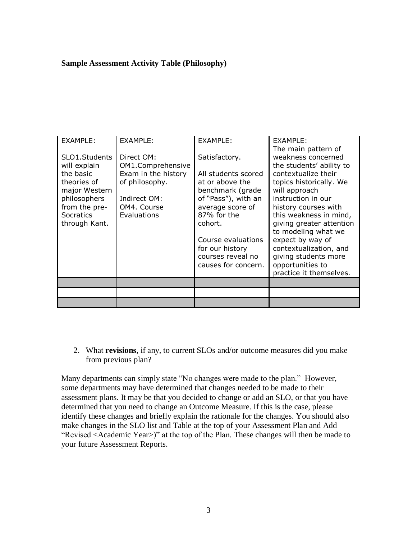## **Sample Assessment Activity Table (Philosophy)**

| EXAMPLE:                                                                                                                                         | EXAMPLE:                                                                                                               | <b>EXAMPLE:</b>                                                                                                                                                                                                                       | EXAMPLE:<br>The main pattern of                                                                                                                                                                                                                                                                                                                                   |
|--------------------------------------------------------------------------------------------------------------------------------------------------|------------------------------------------------------------------------------------------------------------------------|---------------------------------------------------------------------------------------------------------------------------------------------------------------------------------------------------------------------------------------|-------------------------------------------------------------------------------------------------------------------------------------------------------------------------------------------------------------------------------------------------------------------------------------------------------------------------------------------------------------------|
| SLO1.Students<br>will explain<br>the basic<br>theories of<br>major Western<br>philosophers<br>from the pre-<br><b>Socratics</b><br>through Kant. | Direct OM:<br>OM1.Comprehensive<br>Exam in the history<br>of philosophy.<br>Indirect OM:<br>OM4. Course<br>Evaluations | Satisfactory.<br>All students scored<br>at or above the<br>benchmark (grade<br>of "Pass"), with an<br>average score of<br>87% for the<br>cohort.<br>Course evaluations<br>for our history<br>courses reveal no<br>causes for concern. | weakness concerned<br>the students' ability to<br>contextualize their<br>topics historically. We<br>will approach<br>instruction in our<br>history courses with<br>this weakness in mind,<br>giving greater attention<br>to modeling what we<br>expect by way of<br>contextualization, and<br>giving students more<br>opportunities to<br>practice it themselves. |
|                                                                                                                                                  |                                                                                                                        |                                                                                                                                                                                                                                       |                                                                                                                                                                                                                                                                                                                                                                   |
|                                                                                                                                                  |                                                                                                                        |                                                                                                                                                                                                                                       |                                                                                                                                                                                                                                                                                                                                                                   |
|                                                                                                                                                  |                                                                                                                        |                                                                                                                                                                                                                                       |                                                                                                                                                                                                                                                                                                                                                                   |

2. What **revisions**, if any, to current SLOs and/or outcome measures did you make from previous plan?

Many departments can simply state "No changes were made to the plan." However, some departments may have determined that changes needed to be made to their assessment plans. It may be that you decided to change or add an SLO, or that you have determined that you need to change an Outcome Measure. If this is the case, please identify these changes and briefly explain the rationale for the changes. You should also make changes in the SLO list and Table at the top of your Assessment Plan and Add "Revised <Academic Year>)" at the top of the Plan. These changes will then be made to your future Assessment Reports.